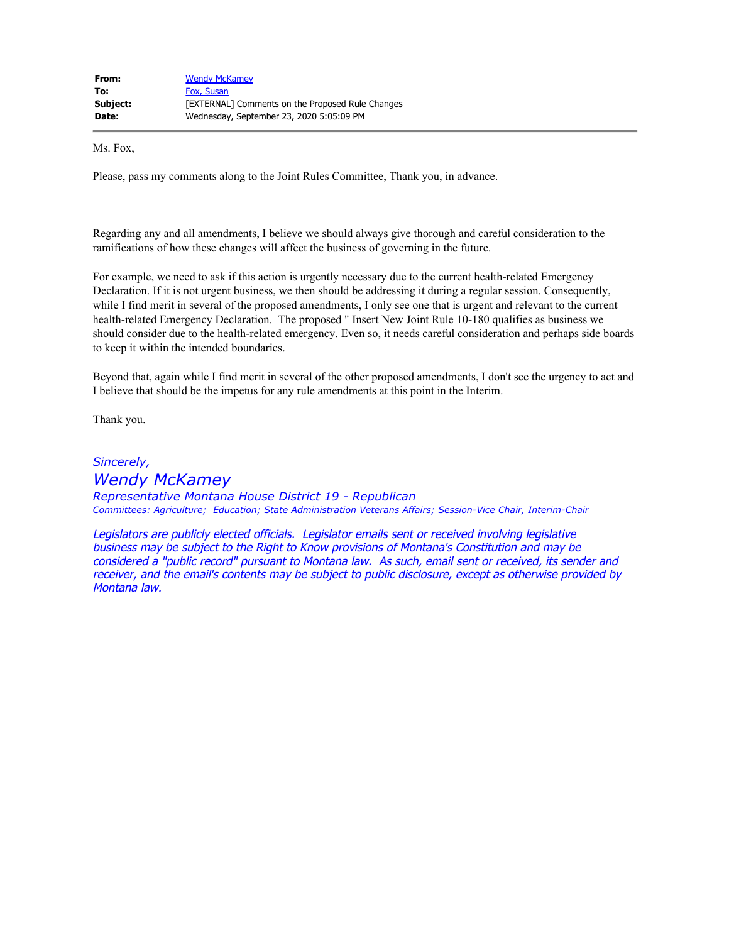| From:    | <b>Wendy McKamey</b>                             |
|----------|--------------------------------------------------|
| To:      | Fox, Susan                                       |
| Subject: | [EXTERNAL] Comments on the Proposed Rule Changes |
| Date:    | Wednesday, September 23, 2020 5:05:09 PM         |

Ms. Fox,

Please, pass my comments along to the Joint Rules Committee, Thank you, in advance.

Regarding any and all amendments, I believe we should always give thorough and careful consideration to the ramifications of how these changes will affect the business of governing in the future.

For example, we need to ask if this action is urgently necessary due to the current health-related Emergency Declaration. If it is not urgent business, we then should be addressing it during a regular session. Consequently, while I find merit in several of the proposed amendments, I only see one that is urgent and relevant to the current health-related Emergency Declaration. The proposed " Insert New Joint Rule 10-180 qualifies as business we should consider due to the health-related emergency. Even so, it needs careful consideration and perhaps side boards to keep it within the intended boundaries.

Beyond that, again while I find merit in several of the other proposed amendments, I don't see the urgency to act and I believe that should be the impetus for any rule amendments at this point in the Interim.

Thank you.

*Sincerely, Wendy McKamey Representative Montana House District 19 - Republican Committees: Agriculture; Education; State Administration Veterans Affairs; Session-Vice Chair, Interim-Chair*

Legislators are publicly elected officials. Legislator emails sent or received involving legislative business may be subject to the Right to Know provisions of Montana's Constitution and may be considered a "public record" pursuant to Montana law. As such, email sent or received, its sender and receiver, and the email's contents may be subject to public disclosure, except as otherwise provided by Montana law.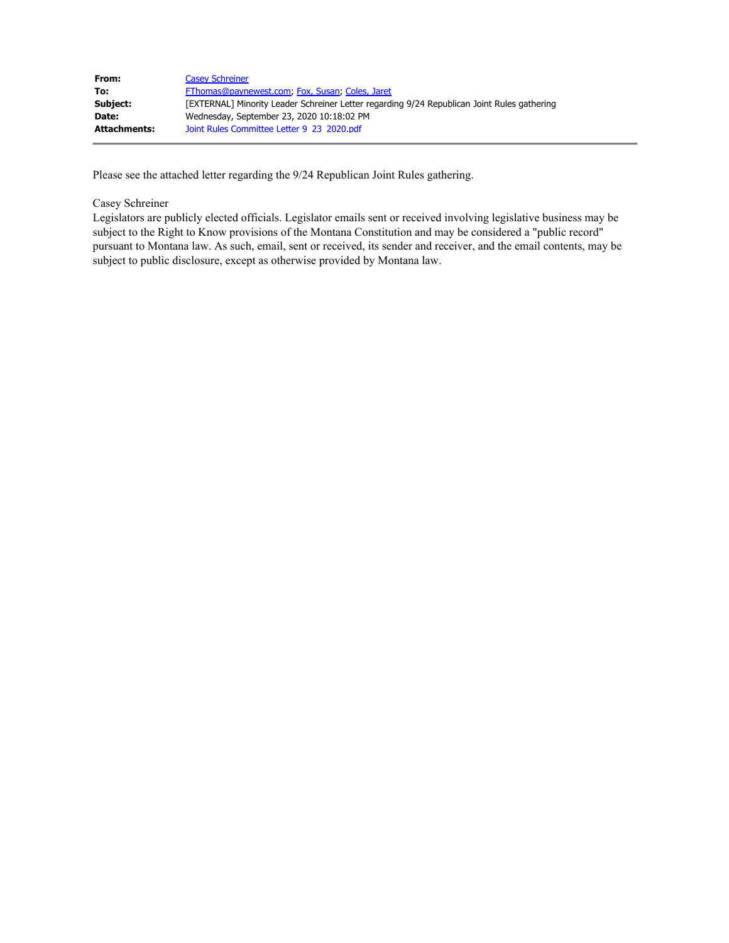| From:               | <b>Casey Schreiner</b>                                                                      |
|---------------------|---------------------------------------------------------------------------------------------|
| To:                 | FThomas@paynewest.com, Fox, Susan, Coles, Jaret                                             |
| Subject:            | [EXTERNAL] Minority Leader Schreiner Letter regarding 9/24 Republican Joint Rules gathering |
| Date:               | Wednesday, September 23, 2020 10:18:02 PM                                                   |
| <b>Attachments:</b> | Joint Rules Committee Letter 9 23 2020.pdf                                                  |

Please see the attached letter regarding the 9/24 Republican Joint Rules gathering.

## Casey Schreiner

Legislators are publicly elected officials. Legislator emails sent or received involving legislative business may be subject to the Right to Know provisions of the Montana Constitution and may be considered a "public record" pursuant to Montana law. As such, email, sent or received, its sender and receiver, and the email contents, may be subject to public disclosure, except as otherwise provided by Montana law.